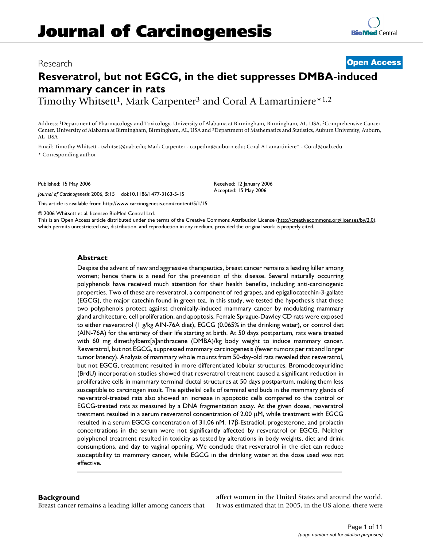# Research **[Open Access](http://www.biomedcentral.com/info/about/charter/)**

# **Resveratrol, but not EGCG, in the diet suppresses DMBA-induced mammary cancer in rats**

Timothy Whitsett<sup>1</sup>, Mark Carpenter<sup>3</sup> and Coral A Lamartiniere\*<sup>1,2</sup>

Address: 1Department of Pharmacology and Toxicology, University of Alabama at Birmingham, Birmingham, AL, USA, 2Comprehensive Cancer Center, University of Alabama at Birmingham, Birmingham, AL, USA and 3Department of Mathematics and Statistics, Auburn University, Auburn, AL, USA

Email: Timothy Whitsett - twhitset@uab.edu; Mark Carpenter - carpedm@auburn.edu; Coral A Lamartiniere\* - Coral@uab.edu \* Corresponding author

Published: 15 May 2006

*Journal of Carcinogenesis* 2006, **5**:15 doi:10.1186/1477-3163-5-15

[This article is available from: http://www.carcinogenesis.com/content/5/1/15](http://www.carcinogenesis.com/content/5/1/15)

© 2006 Whitsett et al; licensee BioMed Central Ltd.

This is an Open Access article distributed under the terms of the Creative Commons Attribution License [\(http://creativecommons.org/licenses/by/2.0\)](http://creativecommons.org/licenses/by/2.0), which permits unrestricted use, distribution, and reproduction in any medium, provided the original work is properly cited.

Received: 12 January 2006 Accepted: 15 May 2006

## **Abstract**

Despite the advent of new and aggressive therapeutics, breast cancer remains a leading killer among women; hence there is a need for the prevention of this disease. Several naturally occurring polyphenols have received much attention for their health benefits, including anti-carcinogenic properties. Two of these are resveratrol, a component of red grapes, and epigallocatechin-3-gallate (EGCG), the major catechin found in green tea. In this study, we tested the hypothesis that these two polyphenols protect against chemically-induced mammary cancer by modulating mammary gland architecture, cell proliferation, and apoptosis. Female Sprague-Dawley CD rats were exposed to either resveratrol (1 g/kg AIN-76A diet), EGCG (0.065% in the drinking water), or control diet (AIN-76A) for the entirety of their life starting at birth. At 50 days postpartum, rats were treated with 60 mg dimethylbenz[a]anthracene (DMBA)/kg body weight to induce mammary cancer. Resveratrol, but not EGCG, suppressed mammary carcinogenesis (fewer tumors per rat and longer tumor latency). Analysis of mammary whole mounts from 50-day-old rats revealed that resveratrol, but not EGCG, treatment resulted in more differentiated lobular structures. Bromodeoxyuridine (BrdU) incorporation studies showed that resveratrol treatment caused a significant reduction in proliferative cells in mammary terminal ductal structures at 50 days postpartum, making them less susceptible to carcinogen insult. The epithelial cells of terminal end buds in the mammary glands of resveratrol-treated rats also showed an increase in apoptotic cells compared to the control or EGCG-treated rats as measured by a DNA fragmentation assay. At the given doses, resveratrol treatment resulted in a serum resveratrol concentration of 2.00 μM, while treatment with EGCG resulted in a serum EGCG concentration of 31.06 nM. 17β-Estradiol, progesterone, and prolactin concentrations in the serum were not significantly affected by resveratrol or EGCG. Neither polyphenol treatment resulted in toxicity as tested by alterations in body weights, diet and drink consumptions, and day to vaginal opening. We conclude that resveratrol in the diet can reduce susceptibility to mammary cancer, while EGCG in the drinking water at the dose used was not effective.

## **Background**

Breast cancer remains a leading killer among cancers that

affect women in the United States and around the world. It was estimated that in 2005, in the US alone, there were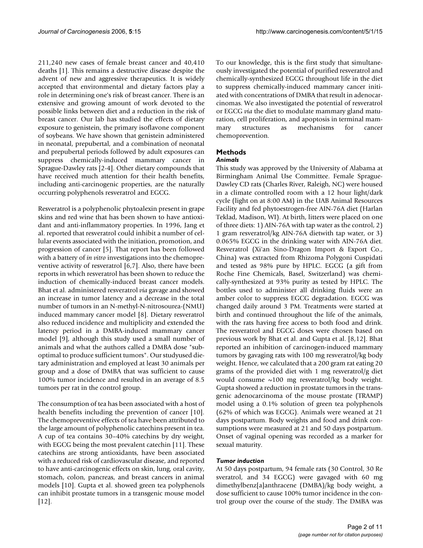211,240 new cases of female breast cancer and 40,410 deaths [1]. This remains a destructive disease despite the advent of new and aggressive therapeutics. It is widely accepted that environmental and dietary factors play a role in determining one's risk of breast cancer. There is an extensive and growing amount of work devoted to the possible links between diet and a reduction in the risk of breast cancer. Our lab has studied the effects of dietary exposure to genistein, the primary isoflavone component of soybeans. We have shown that genistein administered in neonatal, prepubertal, and a combination of neonatal and prepubertal periods followed by adult exposures can suppress chemically-induced mammary cancer in Sprague-Dawley rats [2-4]. Other dietary compounds that have received much attention for their health benefits, including anti-carcinogenic properties, are the naturally occurring polyphenols resveratrol and EGCG.

Resveratrol is a polyphenolic phytoalexin present in grape skins and red wine that has been shown to have antioxidant and anti-inflammatory properties. In 1996, Jang et al. reported that resveratrol could inhibit a number of cellular events associated with the initiation, promotion, and progression of cancer [5]. That report has been followed with a battery of *in vitro* investigations into the chemopreventive activity of resveratrol [6,7]. Also, there have been reports in which resveratrol has been shown to reduce the induction of chemically-induced breast cancer models. Bhat et al. administered resveratrol *via* gavage and showed an increase in tumor latency and a decrease in the total number of tumors in an N-methyl-N-nitrosourea-(NMU) induced mammary cancer model [8]. Dietary resveratrol also reduced incidence and multiplicity and extended the latency period in a DMBA-induced mammary cancer model [9], although this study used a small number of animals and what the authors called a DMBA dose "suboptimal to produce sufficient tumors". Our studyused dietary administration and employed at least 30 animals per group and a dose of DMBA that was sufficient to cause 100% tumor incidence and resulted in an average of 8.5 tumors per rat in the control group.

The consumption of tea has been associated with a host of health benefits including the prevention of cancer [10]. The chemopreventive effects of tea have been attributed to the large amount of polyphenolic catechins present in tea. A cup of tea contains 30–40% catechins by dry weight, with EGCG being the most prevalent catechin [11]. These catechins are strong antioxidants, have been associated with a reduced risk of cardiovascular disease, and reported to have anti-carcinogenic effects on skin, lung, oral cavity, stomach, colon, pancreas, and breast cancers in animal models [10]. Gupta et al. showed green tea polyphenols can inhibit prostate tumors in a transgenic mouse model [12].

To our knowledge, this is the first study that simultaneously investigated the potential of purified resveratrol and chemically-synthesized EGCG throughout life in the diet to suppress chemically-induced mammary cancer initiated with concentrations of DMBA that result in adenocarcinomas. We also investigated the potential of resveratrol or EGCG *via* the diet to modulate mammary gland maturation, cell proliferation, and apoptosis in terminal mammary structures as mechanisms for cancer chemoprevention.

## **Methods**

## *Animals*

This study was approved by the University of Alabama at Birmingham Animal Use Committee. Female Sprague-Dawley CD rats (Charles River, Raleigh, NC) were housed in a climate controlled room with a 12 hour light/dark cycle (light on at 8:00 AM) in the UAB Animal Resources Facility and fed phytoestrogen-free AIN-76A diet (Harlan Teklad, Madison, WI). At birth, litters were placed on one of three diets: 1) AIN-76A with tap water as the control, 2) 1 gram resveratrol/kg AIN-76A dietwith tap water, or 3) 0.065% EGCG in the drinking water with AIN-76A diet. Resveratrol (Xi'an Sino-Dragon Import & Export Co., China) was extracted from Rhizoma Polygoni Cuspidati and tested as 98% pure by HPLC. EGCG (a gift from Roche Fine Chemicals, Basel, Switzerland) was chemically-synthesized at 93% purity as tested by HPLC. The bottles used to administer all drinking fluids were an amber color to suppress EGCG degradation. EGCG was changed daily around 3 PM. Treatments were started at birth and continued throughout the life of the animals, with the rats having free access to both food and drink. The resveratrol and EGCG doses were chosen based on previous work by Bhat et al. and Gupta et al. [8,12]. Bhat reported an inhibition of carcinogen-induced mammary tumors by gavaging rats with 100 mg resveratrol/kg body weight. Hence, we calculated that a 200 gram rat eating 20 grams of the provided diet with 1 mg resveratrol/g diet would consume ~100 mg resveratrol/kg body weight. Gupta showed a reduction in prostate tumors in the transgenic adenocarcinoma of the mouse prostate (TRAMP) model using a 0.1% solution of green tea polyphenols (62% of which was EGCG). Animals were weaned at 21 days postpartum. Body weights and food and drink consumptions were measured at 21 and 50 days postpartum. Onset of vaginal opening was recorded as a marker for sexual maturity.

## *Tumor induction*

At 50 days postpartum, 94 female rats (30 Control, 30 Re sveratrol, and 34 EGCG) were gavaged with 60 mg dimethylbenz[a]anthracene (DMBA)/kg body weight, a dose sufficient to cause 100% tumor incidence in the control group over the course of the study. The DMBA was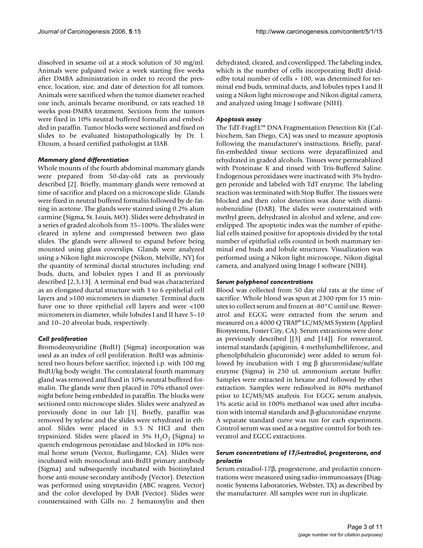dissolved in sesame oil at a stock solution of 30 mg/ml. Animals were palpated twice a week starting five weeks after DMBA administration in order to record the presence, location, size, and date of detection for all tumors. Animals were sacrificed when the tumor diameter reached one inch, animals became moribund, or rats reached 18 weeks post-DMBA treatment. Sections from the tumors were fixed in 10% neutral buffered formalin and embedded in paraffin. Tumor blocks were sectioned and fixed on slides to be evaluated histopathologically by Dr. I. Eltoum, a board certified pathologist at UAB.

#### *Mammary gland differentiation*

Whole mounts of the fourth abdominal mammary glands were prepared from 50-day-old rats as previously described [2]. Briefly, mammary glands were removed at time of sacrifice and placed on a microscope slide. Glands were fixed in neutral buffered formalin followed by de-fatting in acetone. The glands were stained using 0.2% alum carmine (Sigma, St. Louis, MO). Slides were dehydrated in a series of graded alcohols from 35–100%. The slides were cleared in xylene and compressed between two glass slides. The glands were allowed to expand before being mounted using glass coverslips. Glands were analyzed using a Nikon light microscope (Nikon, Melville, NY) for the quantity of terminal ductal structures including: end buds, ducts, and lobules types I and II as previously described [2,3,13]. A terminal end bud was characterized as an elongated ductal structure with 3 to 6 epithelial cell layers and >100 micrometers in diameter. Terminal ducts have one to three epithelial cell layers and were <100 micrometers in diameter, while lobules I and II have 5–10 and 10–20 alveolar buds, respectively.

#### *Cell proliferation*

Bromodeoxyuridine (BrdU) (Sigma) incorporation was used as an index of cell proliferation. BrdU was administered two hours before sacrifice, injected i.p. with 100 mg BrdU/kg body weight. The contralateral fourth mammary gland was removed and fixed in 10% neutral buffered formalin. The glands were then placed in 70% ethanol overnight before being embedded in paraffin. The blocks were sectioned onto microscope slides. Slides were analyzed as previously done in our lab [3]. Briefly, paraffin was removed by xylene and the slides were rehydrated in ethanol. Slides were placed in 3.5 N HCl and then trypsinized. Slides were placed in  $3\%$  H<sub>2</sub>O<sub>2</sub> (Sigma) to quench endogenous peroxidase and blocked in 10% normal horse serum (Vector, Burlingame, CA). Slides were incubated with monoclonal anti-BrdU primary antibody (Sigma) and subsequently incubated with biotinylated horse anti-mouse secondary antibody (Vector). Detection was performed using streptavidin (ABC reagent, Vector) and the color developed by DAB (Vector). Slides were counterstained with Gills no. 2 hematoxylin and then

dehydrated, cleared, and coverslipped. The labeling index, which is the number of cells incorporating BrdU dividedby total number of cells × 100, was determined for terminal end buds, terminal ducts, and lobules types I and II using a Nikon light microscope and Nikon digital camera, and analyzed using Image J software (NIH).

#### *Apoptosis assay*

The TdT-FragEL™ DNA Fragmentation Detection Kit (Calbiochem, San Diego, CA) was used to measure apoptosis following the manufacturer's instructions. Briefly, paraffin-embedded tissue sections were deparaffinized and rehydrated in graded alcohols. Tissues were permeablized with Proteinase K and rinsed with Tris-Buffered Saline. Endogenous peroxidases were inactivated with 3% hydrogen peroxide and labeled with TdT enzyme. The labeling reaction was terminated with Stop Buffer. The tissues were blocked and then color detection was done with diaminobenzidine (DAB). The slides were couterstained with methyl green, dehydrated in alcohol and xylene, and coverslipped. The apoptotic index was the number of epithelial cells stained positive for apoptosis divided by the total number of epithelial cells counted in both mammary terminal end buds and lobule structures. Visualization was performed using a Nikon light microscope, Nikon digital camera, and analyzed using Image J software (NIH).

#### *Serum polyphenol concentrations*

Blood was collected from 50 day old rats at the time of sacrifice. Whole blood was spun at 2300 rpm for 15 minutes to collect serum and frozen at -80°C until use. Resveratrol and EGCG were extracted from the serum and measured on a 4000 Q TRAP® LC/MS/MS System (Applied Biosystems, Foster City, CA). Serum extractions were done as previously described [[3] and [14]]. For resveratrol, internal standards (apiginin, 4-methylumbelliferone, and phenolphthalein glucuronide) were added to serum followed by incubation with 1 mg β glucuronidase/sulfate enzyme (Sigma) in 250 uL ammonium acetate buffer. Samples were extracted in hexane and followed by ether extraction. Samples were redissolved in 80% methanol prior to LC/MS/MS analysis. For EGCG serum analysis, 1% acetic acid in 100% methanol was used after incubation with internal standards and β-glucuronidase enzyme. A separate standard curve was run for each experiment. Control serum was used as a negative control for both resveratrol and EGCG extractions.

#### *Serum concentrations of 17*β*-estradiol, progesterone, and prolactin*

Serum estradiol-17β, progesterone, and prolactin concentrations were measured using radio-immunoassays (Diagnostic Systems Laboratories, Webster, TX) as described by the manufacturer. All samples were run in duplicate.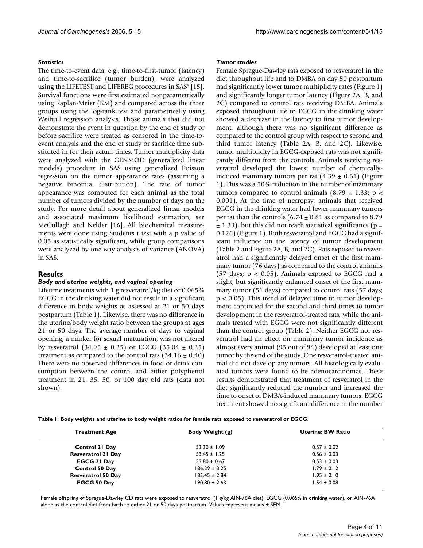#### *Statistics*

The time-to-event data, e.g., time-to-first-tumor (latency) and time-to-sacrifice (tumor burden), were analyzed using the LIFETEST and LIFEREG procedures in SAS® [15]. Survival functions were first estimated nonparametrically using Kaplan-Meier (KM) and compared across the three groups using the log-rank test and parametrically using Weibull regression analysis. Those animals that did not demonstrate the event in question by the end of study or before sacrifice were treated as censored in the time-toevent analysis and the end of study or sacrifice time substituted in for their actual times. Tumor multiplicity data were analyzed with the GENMOD (generalized linear models) procedure in SAS using generalized Poisson regression on the tumor appearance rates (assuming a negative binomial distribution). The rate of tumor appearance was computed for each animal as the total number of tumors divided by the number of days on the study. For more detail about generalized linear models and associated maximum likelihood estimation, see McCullagh and Nelder [16]. All biochemical measurements were done using Students t test with a p value of 0.05 as statistically significant, while group comparisons were analyzed by one way analysis of variance (ANOVA) in SAS.

## **Results**

#### *Body and uterine weights, and vaginal opening*

Lifetime treatments with 1 g resveratrol/kg diet or 0.065% EGCG in the drinking water did not result in a significant difference in body weights as assessed at 21 or 50 days postpartum (Table 1). Likewise, there was no difference in the uterine/body weight ratio between the groups at ages 21 or 50 days. The average number of days to vaginal opening, a marker for sexual maturation, was not altered by resveratrol  $(34.95 \pm 0.35)$  or EGCG  $(35.04 \pm 0.35)$ treatment as compared to the control rats  $(34.16 \pm 0.40)$ There were no observed differences in food or drink consumption between the control and either polyphenol treatment in 21, 35, 50, or 100 day old rats (data not shown).

#### *Tumor studies*

Female Sprague-Dawley rats exposed to resveratrol in the diet throughout life and to DMBA on day 50 postpartum had significantly lower tumor multiplicity rates (Figure 1) and significantly longer tumor latency (Figure 2A, B, and 2C) compared to control rats receiving DMBA. Animals exposed throughout life to EGCG in the drinking water showed a decrease in the latency to first tumor development, although there was no significant difference as compared to the control group with respect to second and third tumor latency (Table 2A, B, and 2C). Likewise, tumor multiplicity in EGCG-exposed rats was not significantly different from the controls. Animals receiving resveratrol developed the lowest number of chemicallyinduced mammary tumors per rat  $(4.39 \pm 0.61)$  (Figure 1). This was a 50% reduction in the number of mammary tumors compared to control animals  $(8.79 \pm 1.33; p \le$ 0.001). At the time of necropsy, animals that received EGCG in the drinking water had fewer mammary tumors per rat than the controls  $(6.74 \pm 0.81$  as compared to 8.79  $\pm$  1.33), but this did not reach statistical significance (p = 0.126) (Figure 1). Both resveratrol and EGCG had a significant influence on the latency of tumor development (Table 2 and Figure 2A, B, and 2C). Rats exposed to resveratrol had a significantly delayed onset of the first mammary tumor (76 days) as compared to the control animals (57 days;  $p < 0.05$ ). Animals exposed to EGCG had a slight, but significantly enhanced onset of the first mammary tumor (51 days) compared to control rats (57 days; p < 0.05). This trend of delayed time to tumor development continued for the second and third times to tumor development in the resveratrol-treated rats, while the animals treated with EGCG were not significantly different than the control group (Table 2). Neither EGCG nor resveratrol had an effect on mammary tumor incidence as almost every animal (93 out of 94) developed at least one tumor by the end of the study. One resveratrol-treated animal did not develop any tumors. All histologically evaluated tumors were found to be adenocarcinomas. These results demonstrated that treatment of resveratrol in the diet significantly reduced the number and increased the time to onset of DMBA-induced mammary tumors. EGCG treatment showed no significant difference in the number

**Table 1: Body weights and uterine to body weight ratios for female rats exposed to resveratrol or EGCG.**

| <b>Treatment Age</b>      | Body Weight (g)   | Uterine: BW Ratio |
|---------------------------|-------------------|-------------------|
| <b>Control 21 Day</b>     | $53.30 \pm 1.09$  | $0.57 \pm 0.02$   |
| <b>Resveratrol 21 Day</b> | $53.45 \pm 1.25$  | $0.56 \pm 0.03$   |
| <b>EGCG 21 Day</b>        | $53.80 \pm 0.67$  | $0.53 \pm 0.03$   |
| <b>Control 50 Day</b>     | $186.29 \pm 3.25$ | $1.79 \pm 0.12$   |
| <b>Resveratrol 50 Day</b> | $183.45 \pm 2.84$ | $1.95 \pm 0.10$   |
| <b>EGCG 50 Day</b>        | $190.80 \pm 2.63$ | $1.54 \pm 0.08$   |

Female offspring of Sprague-Dawley CD rats were exposed to resveratrol (1 g/kg AIN-76A diet), EGCG (0.065% in drinking water), or AIN-76A alone as the control diet from birth to either 21 or 50 days postpartum. Values represent means ± SEM.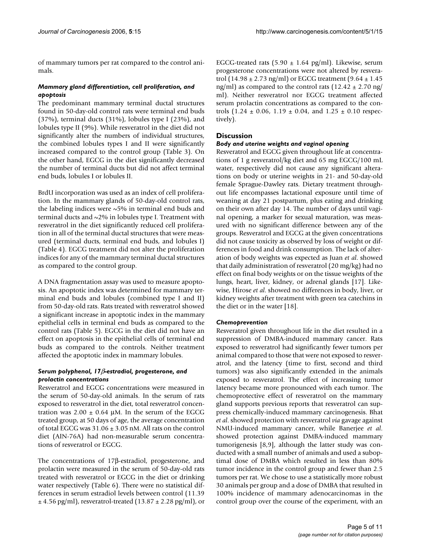of mammary tumors per rat compared to the control animals.

## *Mammary gland differentiation, cell proliferation, and apoptosis*

The predominant mammary terminal ductal structures found in 50-day-old control rats were terminal end buds (37%), terminal ducts (31%), lobules type I (23%), and lobules type II (9%). While resveratrol in the diet did not significantly alter the numbers of individual structures, the combined lobules types I and II were significantly increased compared to the control group (Table 3). On the other hand, EGCG in the diet significantly decreased the number of terminal ducts but did not affect terminal end buds, lobules I or lobules II.

BrdU incorporation was used as an index of cell proliferation. In the mammary glands of 50-day-old control rats, the labeling indices were  $\sim$ 5% in terminal end buds and terminal ducts and  $\sim$ 2% in lobules type I. Treatment with resveratrol in the diet significantly reduced cell proliferation in all of the terminal ductal structures that were measured (terminal ducts, terminal end buds, and lobules I) (Table 4). EGCG treatment did not alter the proliferation indices for any of the mammary terminal ductal structures as compared to the control group.

A DNA fragmentation assay was used to measure apoptosis. An apoptotic index was determined for mammary terminal end buds and lobules (combined type I and II) from 50-day-old rats. Rats treated with resveratrol showed a significant increase in apoptotic index in the mammary epithelial cells in terminal end buds as compared to the control rats (Table 5). EGCG in the diet did not have an effect on apoptosis in the epithelial cells of terminal end buds as compared to the controls. Neither treatment affected the apoptotic index in mammary lobules.

## *Serum polyphenol, 17*β*-estradiol, progesterone, and prolactin concentrations*

Resveratrol and EGCG concentrations were measured in the serum of 50-day-old animals. In the serum of rats exposed to resveratrol in the diet, total resveratrol concentration was  $2.00 \pm 0.64$  μM. In the serum of the EGCG treated group, at 50 days of age, the average concentration of total EGCG was  $31.06 \pm 3.05$  nM. All rats on the control diet (AIN-76A) had non-measurable serum concentrations of resveratrol or EGCG.

The concentrations of 17β-estradiol, progesterone, and prolactin were measured in the serum of 50-day-old rats treated with resveratrol or EGCG in the diet or drinking water respectively (Table 6). There were no statistical differences in serum estradiol levels between control (11.39  $\pm$  4.56 pg/ml), resveratrol-treated (13.87  $\pm$  2.28 pg/ml), or EGCG-treated rats  $(5.90 \pm 1.64 \text{ pg/ml})$ . Likewise, serum progesterone concentrations were not altered by resveratrol (14.98  $\pm$  2.73 ng/ml) or EGCG treatment (9.64  $\pm$  1.45 ng/ml) as compared to the control rats  $(12.42 \pm 2.70 \text{ ng})$ ml). Neither resveratrol nor EGCG treatment affected serum prolactin concentrations as compared to the controls (1.24  $\pm$  0.06, 1.19  $\pm$  0.04, and 1.25  $\pm$  0.10 respectively).

## **Discussion**

## *Body and uterine weights and vaginal opening*

Resveratrol and EGCG given throughout life at concentrations of 1 g resveratrol/kg diet and 65 mg EGCG/100 mL water, respectively did not cause any significant alterations on body or uterine weights in 21- and 50-day-old female Sprague-Dawley rats. Dietary treatment throughout life encompasses lactational exposure until time of weaning at day 21 postpartum, plus eating and drinking on their own after day 14. The number of days until vaginal opening, a marker for sexual maturation, was measured with no significant difference between any of the groups. Resveratrol and EGCG at the given concentrations did not cause toxicity as observed by loss of weight or differences in food and drink consumption. The lack of alteration of body weights was expected as Juan *et al*. showed that daily administration of resveratrol (20 mg/kg) had no effect on final body weights or on the tissue weights of the lungs, heart, liver, kidney, or adrenal glands [17]. Likewise, Hirose *et al*. showed no differences in body, liver, or kidney weights after treatment with green tea catechins in the diet or in the water [18].

## *Chemoprevention*

Resveratrol given throughout life in the diet resulted in a suppression of DMBA-induced mammary cancer. Rats exposed to resveratrol had significantly fewer tumors per animal compared to those that were not exposed to resveratrol, and the latency (time to first, second and third tumors) was also significantly extended in the animals exposed to resveratrol. The effect of increasing tumor latency became more pronounced with each tumor. The chemoprotective effect of resveratrol on the mammary gland supports previous reports that resveratrol can suppress chemically-induced mammary carcinogenesis. Bhat *et al*. showed protection with resveratrol *via* gavage against NMU-induced mammary cancer, while Banerjee *et al*. showed protection against DMBA-induced mammary tumorigenesis [8,9], although the latter study was conducted with a small number of animals and used a suboptimal dose of DMBA which resulted in less than 80% tumor incidence in the control group and fewer than 2.5 tumors per rat. We chose to use a statistically more robust 30 animals per group and a dose of DMBA that resulted in 100% incidence of mammary adenocarcinomas in the control group over the course of the experiment, with an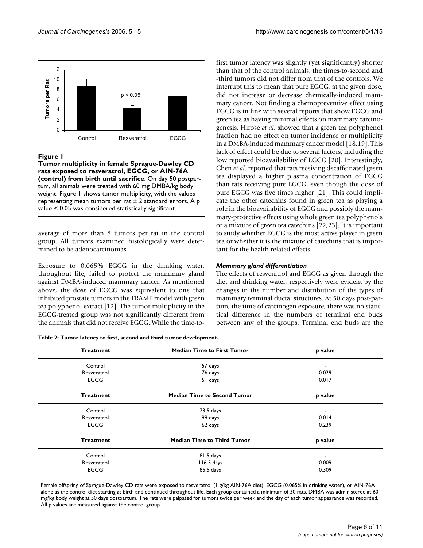

## Figure I

**Tumor multiplicity in female Sprague-Dawley CD rats exposed to resveratrol, EGCG, or AIN-76A (control) from birth until sacrifice**. On day 50 postpartum, all animals were treated with 60 mg DMBA/kg body weight. Figure 1 shows tumor multiplicity, with the values representing mean tumors per rat  $\pm$  2 standard errors. A p value < 0.05 was considered statistically significant.

average of more than 8 tumors per rat in the control group. All tumors examined histologically were determined to be adenocarcinomas.

Exposure to 0.065% EGCG in the drinking water, throughout life, failed to protect the mammary gland against DMBA-induced mammary cancer. As mentioned above, the dose of EGCG was equivalent to one that inhibited prostate tumors in the TRAMP model with green tea polyphenol extract [12]. The tumor multiplicity in the EGCG-treated group was not significantly different from the animals that did not receive EGCG. While the time-to-

| Table 2: Tumor latency to first, second and third tumor development. |  |  |  |
|----------------------------------------------------------------------|--|--|--|
|----------------------------------------------------------------------|--|--|--|

first tumor latency was slightly (yet significantly) shorter than that of the control animals, the times-to-second and -third tumors did not differ from that of the controls. We interrupt this to mean that pure EGCG, at the given dose, did not increase or decrease chemically-induced mammary cancer. Not finding a chemopreventive effect using EGCG is in line with several reports that show EGCG and green tea as having minimal effects on mammary carcinogenesis. Hirose *et al*. showed that a green tea polyphenol fraction had no effect on tumor incidence or multiplicity in a DMBA-induced mammary cancer model [18,19]. This lack of effect could be due to several factors, including the low reported bioavailability of EGCG [20]. Interestingly, Chen *et al*. reported that rats receiving decaffeinated green tea displayed a higher plasma concentration of EGCG than rats receiving pure EGCG, even though the dose of pure EGCG was five times higher [21]. This could implicate the other catechins found in green tea as playing a role in the bioavailability of EGCG and possibly the mammary-protective effects using whole green tea polyphenols or a mixture of green tea catechins [22,23]. It is important to study whether EGCG is the most active player in green tea or whether it is the mixture of catechins that is important for the health related effects.

## *Mammary gland differentiation*

The effects of resveratrol and EGCG as given through the diet and drinking water, respectively were evident by the changes in the number and distribution of the types of mammary terminal ductal structures. At 50 days post-partum, the time of carcinogen exposure, there was no statistical difference in the numbers of terminal end buds between any of the groups. Terminal end buds are the

| <b>Treatment</b> | <b>Median Time to First Tumor</b>  | p value                  |
|------------------|------------------------------------|--------------------------|
| Control          | 57 days                            | $\overline{\phantom{a}}$ |
| Resveratrol      | 76 days                            | 0.029                    |
| <b>EGCG</b>      | 51 days                            | 0.017                    |
| <b>Treatment</b> | <b>Median Time to Second Tumor</b> | p value                  |
| Control          | 73.5 days                          | $\blacksquare$           |
| Resveratrol      | 99 days                            | 0.014                    |
| <b>EGCG</b>      | 62 days                            | 0.239                    |
| <b>Treatment</b> | <b>Median Time to Third Tumor</b>  | p value                  |
| Control          | 81.5 days                          | ٠                        |
| Resveratrol      | 116.5 days                         | 0.009                    |
| <b>EGCG</b>      | 85.5 days                          | 0.309                    |

Female offspring of Sprague-Dawley CD rats were exposed to resveratrol (1 g/kg AIN-76A diet), EGCG (0.065% in drinking water), or AIN-76A alone as the control diet starting at birth and continued throughout life. Each group contained a minimum of 30 rats. DMBA was administered at 60 mg/kg body weight at 50 days postpartum. The rats were palpated for tumors twice per week and the day of each tumor appearance was recorded. All p values are measured against the control group.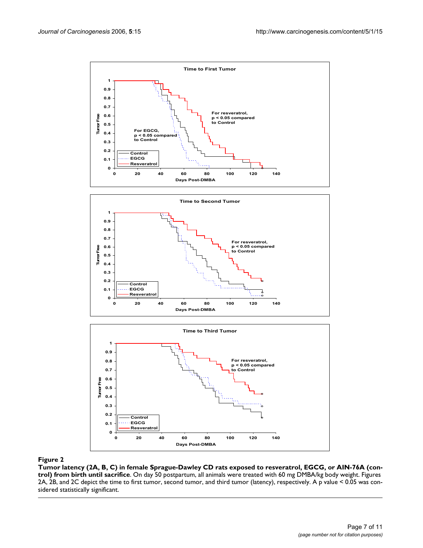





## Tumor latency (2A, B, C) in female Spr until sacrifice rats exposed to result sacrifice  $2$  and  $\alpha$  and birth  $\alpha$  and birth  $\alpha$  (control) from birth  $\alpha$  (control) from birthday. In fact, or AIN-76A (control) from birth

**Tumor latency (2A, B, C) in female Sprague-Dawley CD rats exposed to resveratrol, EGCG, or AIN-76A (control) from birth until sacrifice**. On day 50 postpartum, all animals were treated with 60 mg DMBA/kg body weight. Figures 2A, 2B, and 2C depict the time to first tumor, second tumor, and third tumor (latency), respectively. A p value < 0.05 was considered statistically significant.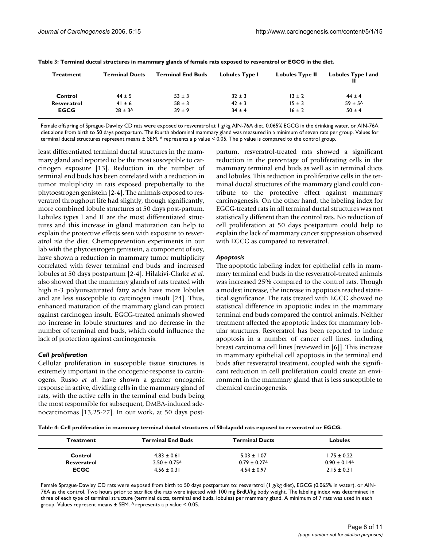| <b>Treatment</b> | <b>Terminal Ducts</b>   | <b>Terminal End Buds</b> | <b>Lobules Type I</b> | <b>Lobules Type II</b> | Lobules Type I and<br>н |
|------------------|-------------------------|--------------------------|-----------------------|------------------------|-------------------------|
| Control          | $44 \pm 5$              | $53 \pm 3$               | $32 \pm 3$            | $13 \pm 2$             | $44 \pm 4$              |
| Resveratrol      | $41 \pm 6$              | $58 \pm 3$               | $42 \pm 3$            | $15 \pm 3$             | $59 \pm 5^{A}$          |
| <b>EGCG</b>      | $28 \pm 3$ <sup>A</sup> | $39 \pm 9$               | $34 + 4$              | $16 \pm 2$             | $50 \pm 4$              |

**Table 3: Terminal ductal structures in mammary glands of female rats exposed to resveratrol or EGCG in the diet.**

Female offspring of Sprague-Dawley CD rats were exposed to resveratrol at 1 g/kg AIN-76A diet, 0.065% EGCG in the drinking water, or AIN-76A diet alone from birth to 50 days postpartum. The fourth abdominal mammary gland was measured in a minimum of seven rats per group. Values for terminal ductal structures represent means  $\pm$  SEM. A represents a p value < 0.05. The p value is compared to the control group.

least differentiated terminal ductal structures in the mammary gland and reported to be the most susceptible to carcinogen exposure [13]. Reduction in the number of terminal end buds has been correlated with a reduction in tumor multiplicity in rats exposed prepubertally to the phytoestrogen genistein [2-4]. The animals exposed to resveratrol throughout life had slightly, though significantly, more combined lobule structures at 50 days post-partum. Lobules types I and II are the most differentiated structures and this increase in gland maturation can help to explain the protective effects seen with exposure to resveratrol *via* the diet. Chemoprevention experiments in our lab with the phytoestrogen genistein, a component of soy, have shown a reduction in mammary tumor multiplicity correlated with fewer terminal end buds and increased lobules at 50 days postpartum [2-4]. Hilakivi-Clarke *et al*. also showed that the mammary glands of rats treated with high n-3 polyunsaturated fatty acids have more lobules and are less susceptible to carcinogen insult [24]. Thus, enhanced maturation of the mammary gland can protect against carcinogen insult. EGCG-treated animals showed no increase in lobule structures and no decrease in the number of terminal end buds, which could influence the lack of protection against carcinogenesis.

## *Cell proliferation*

Cellular proliferation in susceptible tissue structures is extremely important in the oncogenic-response to carcinogens. Russo *et al*. have shown a greater oncogenic response in active, dividing cells in the mammary gland of rats, with the active cells in the terminal end buds being the most responsible for subsequent, DMBA-induced adenocarcinomas [13,25-27]. In our work, at 50 days postpartum, resveratrol-treated rats showed a significant reduction in the percentage of proliferating cells in the mammary terminal end buds as well as in terminal ducts and lobules. This reduction in proliferative cells in the terminal ductal structures of the mammary gland could contribute to the protective effect against mammary carcinogenesis. On the other hand, the labeling index for EGCG-treated rats in all terminal ductal structures was not statistically different than the control rats. No reduction of cell proliferation at 50 days postpartum could help to explain the lack of mammary cancer suppression observed with EGCG as compared to resveratrol.

## *Apoptosis*

The apoptotic labeling index for epithelial cells in mammary terminal end buds in the resveratrol-treated animals was increased 25% compared to the control rats. Though a modest increase, the increase in apoptosis reached statistical significance. The rats treated with EGCG showed no statistical difference in apoptotic index in the mammary terminal end buds compared the control animals. Neither treatment affected the apoptotic index for mammary lobular structures. Resveratrol has been reported to induce apoptosis in a number of cancer cell lines, including breast carcinoma cell lines [reviewed in [6]]. This increase in mammary epithelial cell apoptosis in the terminal end buds after resveratrol treatment, coupled with the significant reduction in cell proliferation could create an environment in the mammary gland that is less susceptible to chemical carcinogenesis.

**Table 4: Cell proliferation in mammary terminal ductal structures of 50-day-old rats exposed to resveratrol or EGCG.**

| Treatment   | <b>Terminal End Buds</b>     | <b>Terminal Ducts</b>        | <b>Lobules</b>               |
|-------------|------------------------------|------------------------------|------------------------------|
| Control     | $4.83 \pm 0.61$              | $5.03 \pm 1.07$              | $1.75 \pm 0.22$              |
| Resveratrol | $2.50 \pm 0.75$ <sup>A</sup> | $0.79 \pm 0.27$ <sup>A</sup> | $0.90 \pm 0.14$ <sup>A</sup> |
| <b>ECGC</b> | $4.56 \pm 0.31$              | $4.54 \pm 0.97$              | $2.15 \pm 0.31$              |

Female Sprague-Dawley CD rats were exposed from birth to 50 days postpartum to: resveratrol (1 g/kg diet), EGCG (0.065% in water), or AIN-76A as the control. Two hours prior to sacrifice the rats were injected with 100 mg BrdU/kg body weight. The labeling index was determined in three of each type of terminal structure (terminal ducts, terminal end buds, lobules) per mammary gland. A minimum of 7 rats was used in each group. Values represent means ± SEM. A represents a p value < 0.05.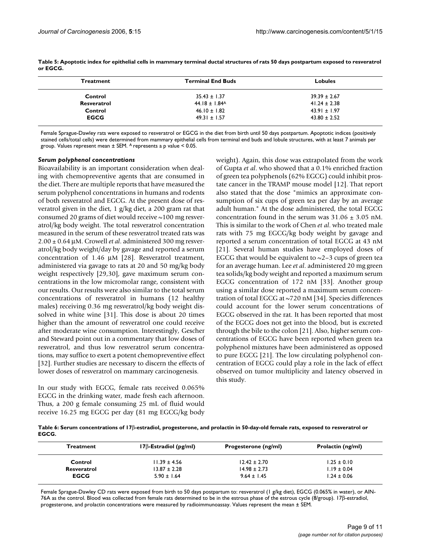| <b>Treatment</b> | <b>Terminal End Buds</b>             | <b>Lobules</b>   |  |
|------------------|--------------------------------------|------------------|--|
| Control          | $35.43 \pm 1.37$<br>$39.39 \pm 2.67$ |                  |  |
| Resveratrol      | $44.18 \pm 1.84$ <sup>A</sup>        | $41.24 \pm 2.38$ |  |
| Control          | $46.10 \pm 1.82$                     | $43.91 \pm 1.97$ |  |
| <b>EGCG</b>      | $49.31 \pm 1.57$                     | $43.80 \pm 2.52$ |  |

**Table 5: Apoptotic index for epithelial cells in mammary terminal ductal structures of rats 50 days postpartum exposed to resveratrol or EGCG.**

Female Sprague-Dawley rats were exposed to resveratrol or EGCG in the diet from birth until 50 days postpartum. Apoptotic indices (positively stained cells/total cells) were determined from mammary epithelial cells from terminal end buds and lobule structures, with at least 7 animals per group. Values represent mean ± SEM. A represents a p value < 0.05.

#### *Serum polyphenol concentrations*

Bioavailability is an important consideration when dealing with chemopreventive agents that are consumed in the diet. There are multiple reports that have measured the serum polyphenol concentrations in humans and rodents of both resveratrol and EGCG. At the present dose of resveratrol given in the diet, 1 g/kg diet, a 200 gram rat that consumed 20 grams of diet would receive  $\sim$ 100 mg resveratrol/kg body weight. The total resveratrol concentration measured in the serum of these resveratrol treated rats was 2.00 ± 0.64 μM. Crowell *et al*. administered 300 mg resveratrol/kg body weight/day by gavage and reported a serum concentration of 1.46 μM [28]. Resveratrol treatment, administered via gavage to rats at 20 and 50 mg/kg body weight respectively [29,30], gave maximum serum concentrations in the low micromolar range, consistent with our results. Our results were also similar to the total serum concentrations of resveratrol in humans (12 healthy males) receiving 0.36 mg resveratrol/kg body weight dissolved in white wine [31]. This dose is about 20 times higher than the amount of resveratrol one could receive after moderate wine consumption. Interestingly, Gescher and Steward point out in a commentary that low doses of resveratrol, and thus low resveratrol serum concentrations, may suffice to exert a potent chemopreventive effect [32]. Further studies are necessary to discern the effects of lower doses of resveratrol on mammary carcinogenesis.

In our study with EGCG, female rats received 0.065% EGCG in the drinking water, made fresh each afternoon. Thus, a 200 g female consuming 25 mL of fluid would receive 16.25 mg EGCG per day (81 mg EGCG/kg body weight). Again, this dose was extrapolated from the work of Gupta *et al*. who showed that a 0.1% enriched fraction of green tea polyphenols (62% EGCG) could inhibit prostate cancer in the TRAMP mouse model [12]. That report also stated that the dose "mimics an approximate consumption of six cups of green tea per day by an average adult human." At the dose administered, the total EGCG concentration found in the serum was  $31.06 + 3.05$  nM. This is similar to the work of Chen *et al*. who treated male rats with 75 mg EGCG/kg body weight by gavage and reported a serum concentration of total EGCG at 43 nM [21]. Several human studies have employed doses of EGCG that would be equivalent to  $\sim$  2–3 cups of green tea for an average human. Lee *et al*. administered 20 mg green tea solids/kg body weight and reported a maximum serum EGCG concentration of 172 nM [33]. Another group using a similar dose reported a maximum serum concentration of total EGCG at ~720 nM [34]. Species differences could account for the lower serum concentrations of EGCG observed in the rat. It has been reported that most of the EGCG does not get into the blood, but is excreted through the bile to the colon [21]. Also, higher serum concentrations of EGCG have been reported when green tea polyphenol mixtures have been administered as opposed to pure EGCG [21]. The low circulating polyphenol concentration of EGCG could play a role in the lack of effect observed on tumor multiplicity and latency observed in this study.

**Table 6: Serum concentrations of 17**β**-estradiol, progesterone, and prolactin in 50-day-old female rats, exposed to resveratrol or EGCG.**

| <b>Treatment</b> | $17\beta$ -Estradiol (pg/ml) | Progesterone (ng/ml) | Prolactin (ng/ml) |
|------------------|------------------------------|----------------------|-------------------|
| Control          | $11.39 \pm 4.56$             | $12.42 \pm 2.70$     | $1.25 \pm 0.10$   |
| Resveratrol      | $13.87 \pm 2.28$             | $14.98 \pm 2.73$     | $1.19 \pm 0.04$   |
| <b>EGCG</b>      | $5.90 \pm 1.64$              | $9.64 \pm 1.45$      | $1.24 \pm 0.06$   |

Female Sprague-Dawley CD rats were exposed from birth to 50 days postpartum to: resveratrol (1 g/kg diet), EGCG (0.065% in water), or AIN-76A as the control. Blood was collected from female rats determined to be in the estrous phase of the estrous cycle (8/group). 17β-estradiol, progesterone, and prolactin concentrations were measured by radioimmunoassay. Values represent the mean ± SEM.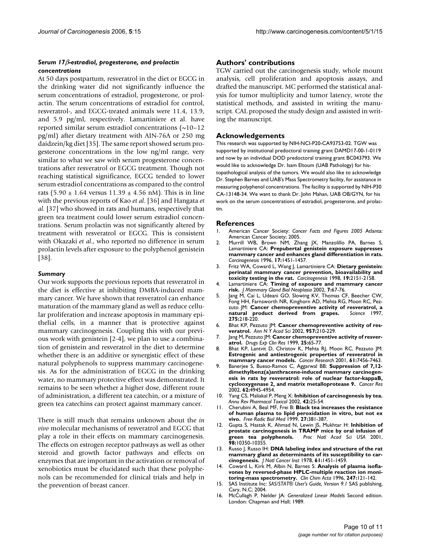## *Serum 17*β*-estradiol, progesterone, and prolactin concentrations*

At 50 days postpartum, resveratrol in the diet or EGCG in the drinking water did not significantly influence the serum concentrations of estradiol, progesterone, or prolactin. The serum concentrations of estradiol for control, resveratrol-, and EGCG-treated animals were 11.4, 13.9, and 5.9 pg/ml, respectively. Lamartiniere et al. have reported similar serum estradiol concentrations (~10–12 pg/ml) after dietary treatment with AIN-76A or 250 mg daidzein/kg diet [35]. The same report showed serum progesterone concentrations in the low ng/ml range, very similar to what we saw with serum progesterone concentrations after resveratrol or EGCG treatment. Though not reaching statistical significance, EGCG tended to lower serum estradiol concentrations as compared to the control rats  $(5.90 \pm 1.64 \text{ versus } 11.39 \pm 4.56 \text{ nM})$ . This is in line with the previous reports of Kao *et al*. [36] and Hangata *et al*. [37] who showed in rats and humans, respectively that green tea treatment could lower serum estradiol concentrations. Serum prolactin was not significantly altered by treatment with resveratrol or EGCG. This is consistent with Okazaki *et al*., who reported no difference in serum prolactin levels after exposure to the polyphenol genistein [38].

## *Summary*

Our work supports the previous reports that resveratrol in the diet is effective at inhibiting DMBA-induced mammary cancer. We have shown that resveratrol can enhance maturation of the mammary gland as well as reduce cellular proliferation and increase apoptosis in mammary epithelial cells, in a manner that is protective against mammary carcinogenesis. Coupling this with our previous work with genistein [2-4], we plan to use a combination of genistein and resveratrol in the diet to determine whether there is an additive or synergistic effect of these natural polyphenols to suppress mammary carcinogenesis. As for the administration of EGCG in the drinking water, no mammary protective effect was demonstrated. It remains to be seen whether a higher dose, different route of administration, a different tea catechin, or a mixture of green tea catechins can protect against mammary cancer.

There is still much that remains unknown about the *in vivo* molecular mechanisms of resveratrol and EGCG that play a role in their effects on mammary carcinogenesis. The effects on estrogen receptor pathways as well as other steroid and growth factor pathways and effects on enzymes that are important in the activation or removal of xenobiotics must be elucidated such that these polyphenols can be recommended for clinical trials and help in the prevention of breast cancer.

## **Authors' contributions**

TGW carried out the carcinogenesis study, whole mount analysis, cell proliferation and apoptosis assays, and drafted the manuscript. MC performed the statistical analysis for tumor multiplicity and tumor latency, wrote the statistical methods, and assisted in writing the manuscript. CAL proposed the study design and assisted in writing the manuscript.

## **Acknowledgements**

This research was supported by NIH-NCI-P20-CA93753-02. TGW was supported by institutional predoctoral training grant DAMD17-00-1-0119 and now by an individual DOD predoctoral training grant BC043793. We would like to acknowledge Dr. Isam Eltoum (UAB Pathology) for histopathological analysis of the tumors. We would also like to acknowledge Dr. Stephen Barnes and UAB's Mass Spectrometry facility, for assistance in measuring polyphenol concentrations. The facility is supported by NIH-P30 CA-13148-34. We want to thank Dr. John Mahan, UAB OB/GYN, for his work on the serum concentrations of estradiol, progesterone, and prolactin.

## **References**

- 1. American Cancer Society: *Cancer Facts and Figures 2005* Atlanta: American Cancer Society; 2005.
- 2. Murrill WB, Brown NM, Zhang JX, Manzolillo PA, Barnes S, Lamartiniere CA: **[Prepubertal genistein exposure suppresses](http://www.ncbi.nlm.nih.gov/entrez/query.fcgi?cmd=Retrieve&db=PubMed&dopt=Abstract&list_uids=8706248) [mammary cancer and enhances gland differentiation in rats.](http://www.ncbi.nlm.nih.gov/entrez/query.fcgi?cmd=Retrieve&db=PubMed&dopt=Abstract&list_uids=8706248)** *Carcinogenesis* 1996, **17:**1451-1457.
- 3. Fritz WA, Coward L, Wang J, Lamartiniere CA: **[Dietary genistein:](http://www.ncbi.nlm.nih.gov/entrez/query.fcgi?cmd=Retrieve&db=PubMed&dopt=Abstract&list_uids=9886571) [perinatal mammary cancer prevention, bioavailability and](http://www.ncbi.nlm.nih.gov/entrez/query.fcgi?cmd=Retrieve&db=PubMed&dopt=Abstract&list_uids=9886571) [toxicity testing in the rat.](http://www.ncbi.nlm.nih.gov/entrez/query.fcgi?cmd=Retrieve&db=PubMed&dopt=Abstract&list_uids=9886571)** *Carcinogenesis* 1998, **19:**2151-2158.
- 4. Lamartiniere CA: **[Timing of exposure and mammary cancer](http://www.ncbi.nlm.nih.gov/entrez/query.fcgi?cmd=Retrieve&db=PubMed&dopt=Abstract&list_uids=12160087) [risk.](http://www.ncbi.nlm.nih.gov/entrez/query.fcgi?cmd=Retrieve&db=PubMed&dopt=Abstract&list_uids=12160087)** *J Mammary Gland Biol Neoplasia* 2002, **7:**67-76.
- 5. Jang M, Cai L, Udeani GO, Slowing KV, Thomas CF, Beecher CW, Fong HH, Farnsworth NR, Kinghorn AD, Mehta RG, Moon RC, Pezzuto JM: **[Cancer chemopreventive activity of resveratrol, a](http://www.ncbi.nlm.nih.gov/entrez/query.fcgi?cmd=Retrieve&db=PubMed&dopt=Abstract&list_uids=8985016) [natural product derived from grapes.](http://www.ncbi.nlm.nih.gov/entrez/query.fcgi?cmd=Retrieve&db=PubMed&dopt=Abstract&list_uids=8985016)** *Science* 1997, **275:**218-220.
- 6. Bhat KP, Pezzuto JM: **[Cancer chemopreventive activity of res](http://www.ncbi.nlm.nih.gov/entrez/query.fcgi?cmd=Retrieve&db=PubMed&dopt=Abstract&list_uids=12074974)[veratrol.](http://www.ncbi.nlm.nih.gov/entrez/query.fcgi?cmd=Retrieve&db=PubMed&dopt=Abstract&list_uids=12074974)** *Ann N Y Acad Sci* 2002, **957:**210-229.
- 7. Jang M, Pezzuto JM: **[Cancer chemopreventive activity of resver](http://www.ncbi.nlm.nih.gov/entrez/query.fcgi?cmd=Retrieve&db=PubMed&dopt=Abstract&list_uids=10370867)[atrol.](http://www.ncbi.nlm.nih.gov/entrez/query.fcgi?cmd=Retrieve&db=PubMed&dopt=Abstract&list_uids=10370867)** *Drugs Exp Clin Res* 1999, **25:**65-77.
- 8. Bhat KP, Lantvit D, Christov K, Mehta RJ, Moon RC, Pezzuto JM: **[Estrogenic and antiestrogenic properties of resveratrol in](http://www.ncbi.nlm.nih.gov/entrez/query.fcgi?cmd=Retrieve&db=PubMed&dopt=Abstract&list_uids=11606380) [mammary cancer models.](http://www.ncbi.nlm.nih.gov/entrez/query.fcgi?cmd=Retrieve&db=PubMed&dopt=Abstract&list_uids=11606380)** *Cancer Research* 2001, **61:**7456-7463.
- 9. Banerjee S, Bueso-Ramos C, Aggarwal BB: **[Suppression of 7,12](http://www.ncbi.nlm.nih.gov/entrez/query.fcgi?cmd=Retrieve&db=PubMed&dopt=Abstract&list_uids=12208745) [dimethylbenz\(a\)anthracene-induced mammary carcinogen](http://www.ncbi.nlm.nih.gov/entrez/query.fcgi?cmd=Retrieve&db=PubMed&dopt=Abstract&list_uids=12208745)esis in rats by resveratrol: role of nuclear factor-kappaB, [cyclooxygenase 2, and matrix metalloprotease 9.](http://www.ncbi.nlm.nih.gov/entrez/query.fcgi?cmd=Retrieve&db=PubMed&dopt=Abstract&list_uids=12208745)** *Cancer Res* 2002, **62:**4945-4954.
- 10. Yang CS, Maliakal P, Meng X: **[Inhibition of carcinogenesis by tea.](http://www.ncbi.nlm.nih.gov/entrez/query.fcgi?cmd=Retrieve&db=PubMed&dopt=Abstract&list_uids=11807163)** *Annu Rev Pharmacol Toxicol* 2002, **42:**25-54.
- 11. Cherubini A, Beal MF, Frei B: **[Black tea increases the resistance](http://www.ncbi.nlm.nih.gov/entrez/query.fcgi?cmd=Retrieve&db=PubMed&dopt=Abstract&list_uids=10468212) [of human plasma to lipid peroxidation in vitro, but not ex](http://www.ncbi.nlm.nih.gov/entrez/query.fcgi?cmd=Retrieve&db=PubMed&dopt=Abstract&list_uids=10468212) [vivo.](http://www.ncbi.nlm.nih.gov/entrez/query.fcgi?cmd=Retrieve&db=PubMed&dopt=Abstract&list_uids=10468212)** *Free Radic Biol Med* 1999, **27:**381-387.
- 12. Gupta S, Hastak K, Ahmad N, Lewin JS, Mukhtar H: **[Inhibition of](http://www.ncbi.nlm.nih.gov/entrez/query.fcgi?cmd=Retrieve&db=PubMed&dopt=Abstract&list_uids=11504910)** [prostate carcinogenesis in TRAMP mice by oral infusion of](http://www.ncbi.nlm.nih.gov/entrez/query.fcgi?cmd=Retrieve&db=PubMed&dopt=Abstract&list_uids=11504910) green tea polyphenols. Proc Natl Acad Sci USA 2001, **[green tea polyphenols.](http://www.ncbi.nlm.nih.gov/entrez/query.fcgi?cmd=Retrieve&db=PubMed&dopt=Abstract&list_uids=11504910)** *Proc Natl Acad Sci USA* 2001, **98:**10350-10355.
- 13. Russo J, Russo IH: **[DNA labeling index and structure of the rat](http://www.ncbi.nlm.nih.gov/entrez/query.fcgi?cmd=Retrieve&db=PubMed&dopt=Abstract&list_uids=102857) [mammary gland as determinants of its susceptibility to car](http://www.ncbi.nlm.nih.gov/entrez/query.fcgi?cmd=Retrieve&db=PubMed&dopt=Abstract&list_uids=102857)[cinogenesis.](http://www.ncbi.nlm.nih.gov/entrez/query.fcgi?cmd=Retrieve&db=PubMed&dopt=Abstract&list_uids=102857)** *J Natl Cancer Inst* 1978, **61:**1451-1459.
- 14. Coward L, Kirk M, Albin N, Barnes S: **[Analysis of plasma isofla](http://www.ncbi.nlm.nih.gov/entrez/query.fcgi?cmd=Retrieve&db=PubMed&dopt=Abstract&list_uids=8920232)[vones by reversed-phase HPLC-multiple reaction ion moni](http://www.ncbi.nlm.nih.gov/entrez/query.fcgi?cmd=Retrieve&db=PubMed&dopt=Abstract&list_uids=8920232)[toring-mass spectrometry.](http://www.ncbi.nlm.nih.gov/entrez/query.fcgi?cmd=Retrieve&db=PubMed&dopt=Abstract&list_uids=8920232)** *Clin Chim Acta* 1996, **247:**121-142.
- 15. SAS Institute Inc: *SAS/STAT® User's Guide, Version 9.1* SAS publishing, Cary, N.C; 2004.
- 16. McCullagh P, Nelder JA: *Generalized Linear Models* Second edition. London: Chapman and Hall; 1989.